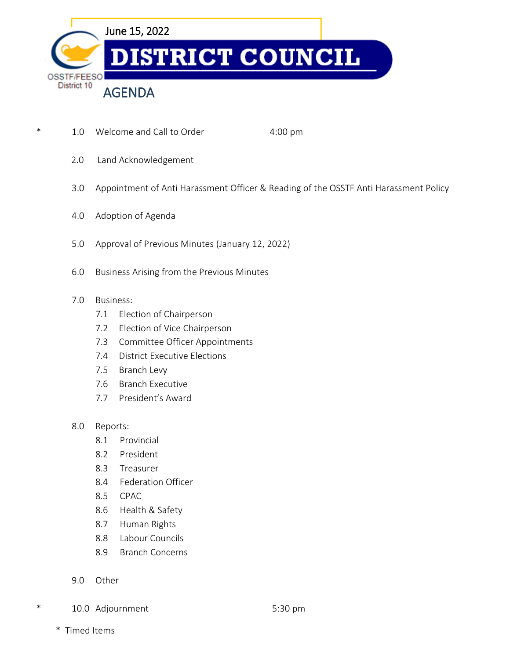

- \* 1.0 Welcome and Call to Order 4:00 pm
	- 2.0 Land Acknowledgement
	- 3.0 Appointment of Anti Harassment Officer & Reading of the OSSTF Anti Harassment Policy
	- 4.0 Adoption of Agenda
	- 5.0 Approval of Previous Minutes (January 12, 2022)
	- 6.0 Business Arising from the Previous Minutes
	- 7.0 Business:
		- 7.1 Election of Chairperson
		- 7.2 Election of Vice Chairperson
		- 7.3 Committee Officer Appointments
		- 7.4 District Executive Elections
		- 7.5 Branch Levy
		- 7.6 Branch Executive
		- 7.7 President's Award
	- 8.0 Reports:
		- 8.1 Provincial
		- 8.2 President
		- 8.3 Treasurer
		- 8.4 Federation Officer
		- 8.5 CPAC
		- 8.6 Health & Safety
		- 8.7 Human Rights
		- 8.8 Labour Councils
		- 8.9 Branch Concerns
	- 9.0 Other
- \* 10.0 Adjournment 5:30 pm

\* Timed Items